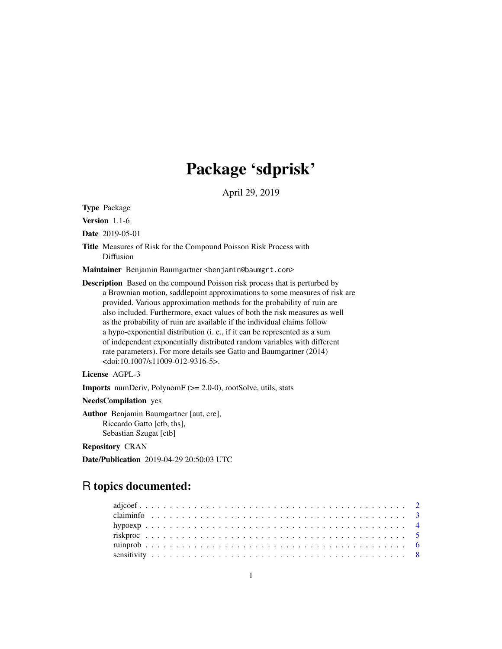# Package 'sdprisk'

April 29, 2019

<span id="page-0-0"></span>Type Package

Version 1.1-6

Date 2019-05-01

Title Measures of Risk for the Compound Poisson Risk Process with Diffusion

Maintainer Benjamin Baumgartner <benjamin@baumgrt.com>

Description Based on the compound Poisson risk process that is perturbed by a Brownian motion, saddlepoint approximations to some measures of risk are provided. Various approximation methods for the probability of ruin are also included. Furthermore, exact values of both the risk measures as well as the probability of ruin are available if the individual claims follow a hypo-exponential distribution (i. e., if it can be represented as a sum of independent exponentially distributed random variables with different rate parameters). For more details see Gatto and Baumgartner (2014) <doi:10.1007/s11009-012-9316-5>.

License AGPL-3

Imports numDeriv, PolynomF (>= 2.0-0), rootSolve, utils, stats

NeedsCompilation yes

Author Benjamin Baumgartner [aut, cre], Riccardo Gatto [ctb, ths], Sebastian Szugat [ctb]

Repository CRAN

Date/Publication 2019-04-29 20:50:03 UTC

# R topics documented: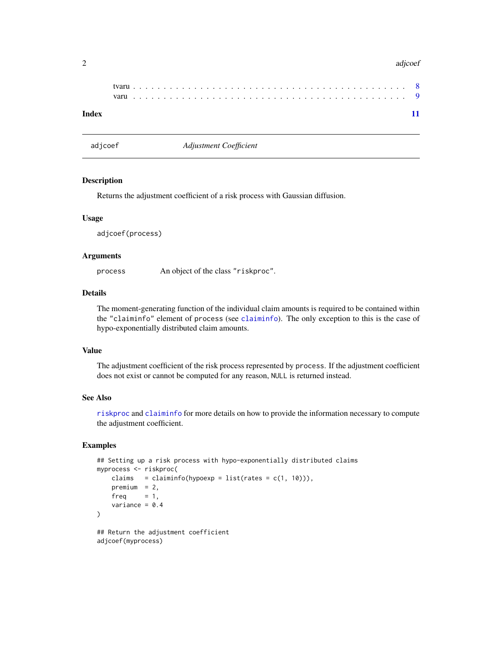#### <span id="page-1-0"></span>2 adjoed and 2 adjoed and 2 adjoed and 2 adjoed and 2 adjoed and 2 adjoed and 2 adjoed and 2 adjoed and 2 adjoed 2 and 2 and 2 adjoed 2 and 2 and 2 and 2 and 2 and 2 and 2 and 2 and 2 and 2 and 2 and 2 and 2 and 2 and 2 an

| Index |  |  |  |  |  |  |  |  |  |  |  |  |  |  |  |  |  |  |  |  |  |  |  |
|-------|--|--|--|--|--|--|--|--|--|--|--|--|--|--|--|--|--|--|--|--|--|--|--|

adjcoef *Adjustment Coefficient*

## Description

Returns the adjustment coefficient of a risk process with Gaussian diffusion.

#### Usage

adjcoef(process)

#### Arguments

process An object of the class "riskproc".

# Details

The moment-generating function of the individual claim amounts is required to be contained within the "claiminfo" element of process (see [claiminfo](#page-2-1)). The only exception to this is the case of hypo-exponentially distributed claim amounts.

## Value

The adjustment coefficient of the risk process represented by process. If the adjustment coefficient does not exist or cannot be computed for any reason, NULL is returned instead.

## See Also

[riskproc](#page-4-1) and [claiminfo](#page-2-1) for more details on how to provide the information necessary to compute the adjustment coefficient.

## Examples

```
## Setting up a risk process with hypo-exponentially distributed claims
myprocess <- riskproc(
   claims = claiminfo(hypoexp = list(rates = c(1, 10))),
   premium = 2,
   freq = 1,
    variance = 0.4\mathcal{L}
```
## Return the adjustment coefficient adjcoef(myprocess)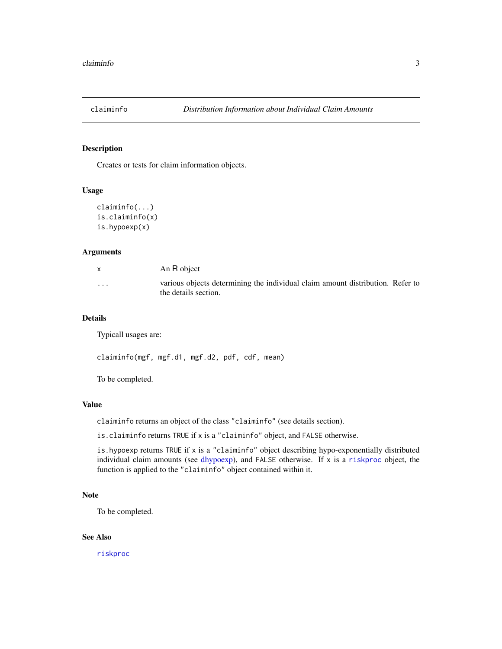<span id="page-2-1"></span><span id="page-2-0"></span>

## Description

Creates or tests for claim information objects.

#### Usage

```
claiminfo(...)
is.claiminfo(x)
is.hypoexp(x)
```
## Arguments

|          | An R object                                                                                            |
|----------|--------------------------------------------------------------------------------------------------------|
| $\cdots$ | various objects determining the individual claim amount distribution. Refer to<br>the details section. |

#### Details

Typicall usages are:

claiminfo(mgf, mgf.d1, mgf.d2, pdf, cdf, mean)

To be completed.

## Value

claiminfo returns an object of the class "claiminfo" (see details section).

is.claiminfo returns TRUE if x is a "claiminfo" object, and FALSE otherwise.

is.hypoexp returns TRUE if x is a "claiminfo" object describing hypo-exponentially distributed individual claim amounts (see [dhypoexp\)](#page-3-1), and FALSE otherwise. If x is a [riskproc](#page-4-1) object, the function is applied to the "claiminfo" object contained within it.

#### Note

To be completed.

## See Also

[riskproc](#page-4-1)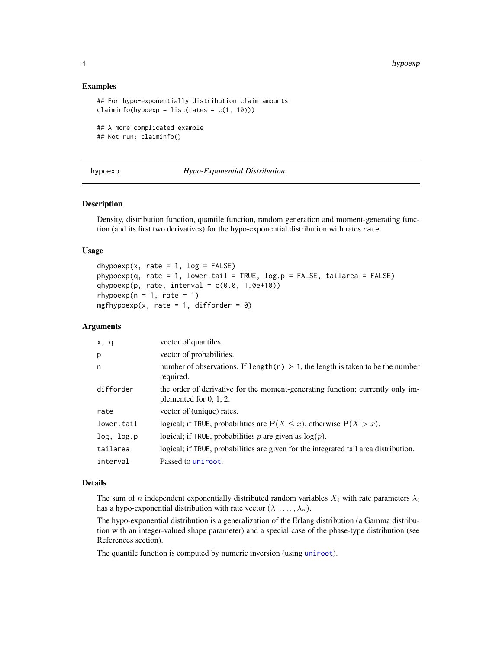## Examples

```
## For hypo-exponentially distribution claim amounts
claiminfo(hypoexp = list(rates = c(1, 10)))
## A more complicated example
## Not run: claiminfo()
```
## hypoexp *Hypo-Exponential Distribution*

## <span id="page-3-1"></span>Description

Density, distribution function, quantile function, random generation and moment-generating function (and its first two derivatives) for the hypo-exponential distribution with rates rate.

## Usage

```
dhypoexp(x, rate = 1, log = FALSE)
phypoexp(q, rate = 1, lower.tail = TRUE, log.p = FALSE, tailarea = FALSE)qhypoexp(p, rate, interval = c(0.0, 1.0e+10))
rhypoexp(n = 1, rate = 1)
mgfhypoexp(x, rate = 1, difforder = 0)
```
## Arguments

| x, q       | vector of quantiles.                                                                                        |
|------------|-------------------------------------------------------------------------------------------------------------|
| p          | vector of probabilities.                                                                                    |
| n          | number of observations. If length $(n) > 1$ , the length is taken to be the number<br>required.             |
| difforder  | the order of derivative for the moment-generating function; currently only im-<br>plemented for $0, 1, 2$ . |
| rate       | vector of (unique) rates.                                                                                   |
| lower.tail | logical; if TRUE, probabilities are $P(X \le x)$ , otherwise $P(X > x)$ .                                   |
| log, log.p | logical; if TRUE, probabilities p are given as $log(p)$ .                                                   |
| tailarea   | logical; if TRUE, probabilities are given for the integrated tail area distribution.                        |
| interval   | Passed to uniroot.                                                                                          |

## Details

The sum of n independent exponentially distributed random variables  $X_i$  with rate parameters  $\lambda_i$ has a hypo-exponential distribution with rate vector  $(\lambda_1, \dots, \lambda_n)$ .

The hypo-exponential distribution is a generalization of the Erlang distribution (a Gamma distribution with an integer-valued shape parameter) and a special case of the phase-type distribution (see References section).

The quantile function is computed by numeric inversion (using [uniroot](#page-0-0)).

<span id="page-3-0"></span>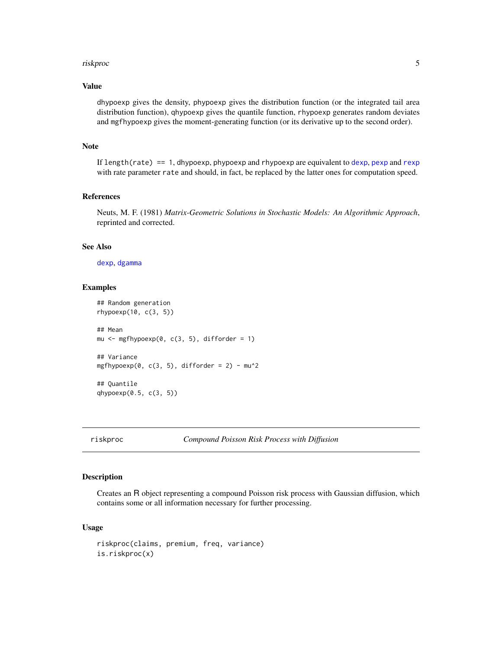#### <span id="page-4-0"></span>riskproc 5

## Value

dhypoexp gives the density, phypoexp gives the distribution function (or the integrated tail area distribution function), qhypoexp gives the quantile function, rhypoexp generates random deviates and mgfhypoexp gives the moment-generating function (or its derivative up to the second order).

## Note

If length(rate) == 1, dhypoexp, phypoexp and rhypoexp are equivalent to [dexp](#page-0-0), [pexp](#page-0-0) and [rexp](#page-0-0) with rate parameter rate and should, in fact, be replaced by the latter ones for computation speed.

## References

Neuts, M. F. (1981) *Matrix-Geometric Solutions in Stochastic Models: An Algorithmic Approach*, reprinted and corrected.

#### See Also

[dexp](#page-0-0), [dgamma](#page-0-0)

## Examples

```
## Random generation
rhypoexp(10, c(3, 5))
## Mean
mu \leq mgfhypoexp(0, c(3, 5), difforder = 1)
## Variance
mgfhypoexp(0, c(3, 5), difforder = 2) - mu^2
## Quantile
qhypoexp(0.5, c(3, 5))
```
<span id="page-4-1"></span>riskproc *Compound Poisson Risk Process with Diffusion*

## Description

Creates an R object representing a compound Poisson risk process with Gaussian diffusion, which contains some or all information necessary for further processing.

#### Usage

```
riskproc(claims, premium, freq, variance)
is.riskproc(x)
```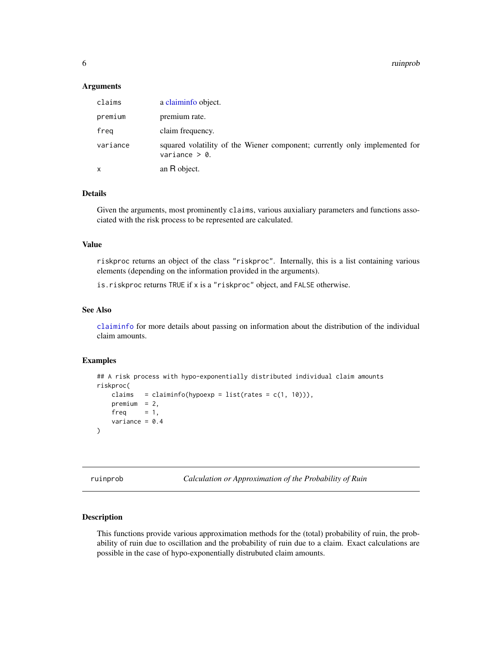<span id="page-5-0"></span>6 ruinprob

#### Arguments

| claims   | a claiminfo object.                                                                            |
|----------|------------------------------------------------------------------------------------------------|
| premium  | premium rate.                                                                                  |
| freg     | claim frequency.                                                                               |
| variance | squared volatility of the Wiener component; currently only implemented for<br>variance $> 0$ . |
| x        | an R object.                                                                                   |

## Details

Given the arguments, most prominently claims, various auxialiary parameters and functions associated with the risk process to be represented are calculated.

#### Value

riskproc returns an object of the class "riskproc". Internally, this is a list containing various elements (depending on the information provided in the arguments).

is.riskproc returns TRUE if x is a "riskproc" object, and FALSE otherwise.

## See Also

[claiminfo](#page-2-1) for more details about passing on information about the distribution of the individual claim amounts.

## Examples

```
## A risk process with hypo-exponentially distributed individual claim amounts
riskproc(
   claims = claiminfo(hypoexp = list(rates = c(1, 10))),
   premium = 2,freq = 1,
   variance = 0.4)
```
ruinprob *Calculation or Approximation of the Probability of Ruin*

#### <span id="page-5-1"></span>Description

This functions provide various approximation methods for the (total) probability of ruin, the probability of ruin due to oscillation and the probability of ruin due to a claim. Exact calculations are possible in the case of hypo-exponentially distrubuted claim amounts.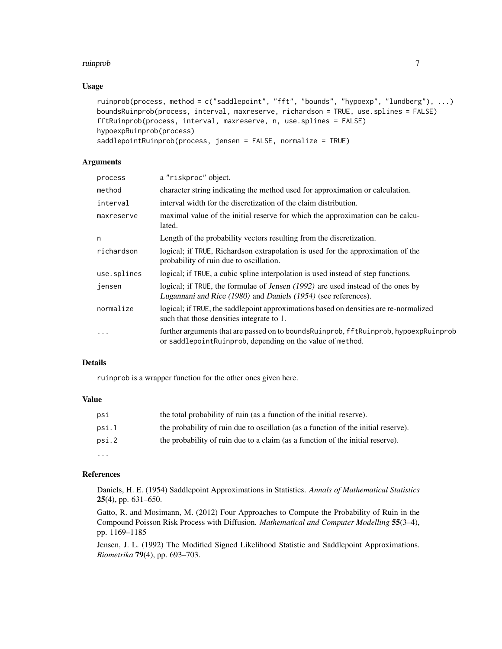#### ruinprob **7**

## Usage

```
ruinprob(process, method = c("saddlepoint", "fft", "bounds", "hypoexp", "lundberg"), ...)
boundsRuinprob(process, interval, maxreserve, richardson = TRUE, use.splines = FALSE)
fftRuinprob(process, interval, maxreserve, n, use.splines = FALSE)
hypoexpRuinprob(process)
saddlepointRuinprob(process, jensen = FALSE, normalize = TRUE)
```
## Arguments

| process     | a "riskproc" object.                                                                                                                                   |
|-------------|--------------------------------------------------------------------------------------------------------------------------------------------------------|
| method      | character string indicating the method used for approximation or calculation.                                                                          |
| interval    | interval width for the discretization of the claim distribution.                                                                                       |
| maxreserve  | maximal value of the initial reserve for which the approximation can be calcu-<br>lated.                                                               |
| n           | Length of the probability vectors resulting from the discretization.                                                                                   |
| richardson  | logical; if TRUE, Richardson extrapolation is used for the approximation of the<br>probability of ruin due to oscillation.                             |
| use.splines | logical; if TRUE, a cubic spline interpolation is used instead of step functions.                                                                      |
| jensen      | logical; if TRUE, the formulae of Jensen (1992) are used instead of the ones by<br>Lugannani and Rice (1980) and Daniels (1954) (see references).      |
| normalize   | logical; if TRUE, the saddlepoint approximations based on densities are re-normalized<br>such that those densities integrate to 1.                     |
| $\cdots$    | further arguments that are passed on to bounds Ruinprob, ff t Ruinprob, hypoexp Ruinprob<br>or saddlepoint Ruinprob, depending on the value of method. |

## Details

ruinprob is a wrapper function for the other ones given here.

## Value

| psi      | the total probability of ruin (as a function of the initial reserve).              |
|----------|------------------------------------------------------------------------------------|
| psi.1    | the probability of ruin due to oscillation (as a function of the initial reserve). |
| psi.2    | the probability of ruin due to a claim (as a function of the initial reserve).     |
| $\cdots$ |                                                                                    |

## References

Daniels, H. E. (1954) Saddlepoint Approximations in Statistics. *Annals of Mathematical Statistics* 25(4), pp. 631–650.

Gatto, R. and Mosimann, M. (2012) Four Approaches to Compute the Probability of Ruin in the Compound Poisson Risk Process with Diffusion. *Mathematical and Computer Modelling* 55(3–4), pp. 1169–1185

Jensen, J. L. (1992) The Modified Signed Likelihood Statistic and Saddlepoint Approximations. *Biometrika* 79(4), pp. 693–703.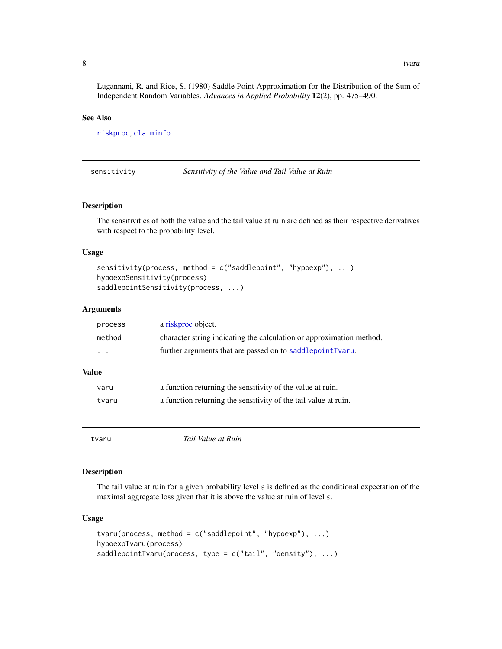Lugannani, R. and Rice, S. (1980) Saddle Point Approximation for the Distribution of the Sum of Independent Random Variables. *Advances in Applied Probability* 12(2), pp. 475–490.

## See Also

[riskproc](#page-4-1), [claiminfo](#page-2-1)

sensitivity *Sensitivity of the Value and Tail Value at Ruin*

## Description

The sensitivities of both the value and the tail value at ruin are defined as their respective derivatives with respect to the probability level.

## Usage

```
sensitivity(process, method = c("saddlepoint", "hypoexp"), ...)
hypoexpSensitivity(process)
saddlepointSensitivity(process, ...)
```
#### Arguments

| process  | a riskproc object.                                                   |
|----------|----------------------------------------------------------------------|
| method   | character string indicating the calculation or approximation method. |
| $\cdots$ | further arguments that are passed on to saddlepointTvaru.            |

## Value

| varu  | a function returning the sensitivity of the value at ruin.      |
|-------|-----------------------------------------------------------------|
| tvaru | a function returning the sensitivity of the tail value at ruin. |

tvaru *Tail Value at Ruin*

## <span id="page-7-1"></span>Description

The tail value at ruin for a given probability level  $\varepsilon$  is defined as the conditional expectation of the maximal aggregate loss given that it is above the value at ruin of level  $\varepsilon$ .

## Usage

```
tvaru(process, method = c("saddlepoint", "hypoexp"), ...)
hypoexpTvaru(process)
saddlepointTvaru(process, type = c("tail", "density"), ...)
```
<span id="page-7-0"></span>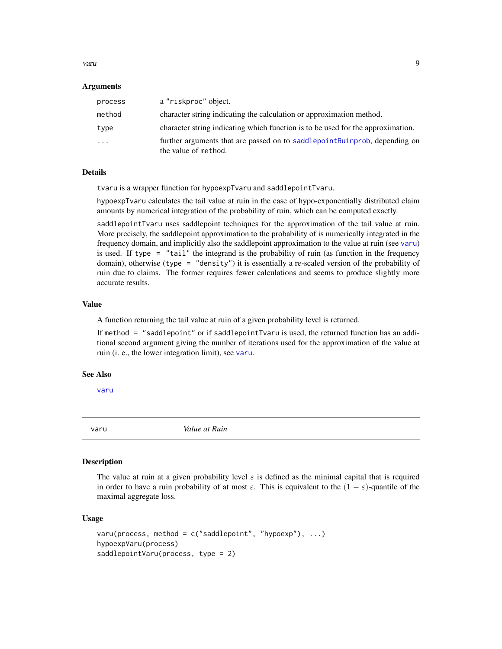<span id="page-8-0"></span>varu 1999. godine iz konzulstva u stanovnika i starih postavanja u svojih starih postavanja u 1999. godine iz

#### Arguments

| process  | a "riskproc" object.                                                                               |
|----------|----------------------------------------------------------------------------------------------------|
| method   | character string indicating the calculation or approximation method.                               |
| type     | character string indicating which function is to be used for the approximation.                    |
| $\cdots$ | further arguments that are passed on to saddlepoint Ruinprob, depending on<br>the value of method. |

#### Details

tvaru is a wrapper function for hypoexpTvaru and saddlepointTvaru.

hypoexpTvaru calculates the tail value at ruin in the case of hypo-exponentially distributed claim amounts by numerical integration of the probability of ruin, which can be computed exactly.

saddlepointTvaru uses saddlepoint techniques for the approximation of the tail value at ruin. More precisely, the saddlepoint approximation to the probability of is numerically integrated in the frequency domain, and implicitly also the saddlepoint approximation to the value at ruin (see [varu](#page-8-1)) is used. If type  $=$  "tail" the integrand is the probability of ruin (as function in the frequency domain), otherwise (type = "density") it is essentially a re-scaled version of the probability of ruin due to claims. The former requires fewer calculations and seems to produce slightly more accurate results.

#### Value

A function returning the tail value at ruin of a given probability level is returned.

If method = "saddlepoint" or if saddlepointTvaru is used, the returned function has an additional second argument giving the number of iterations used for the approximation of the value at ruin (i. e., the lower integration limit), see [varu](#page-8-1).

## See Also

[varu](#page-8-1)

<span id="page-8-1"></span>varu *Value at Ruin*

#### **Description**

The value at ruin at a given probability level  $\varepsilon$  is defined as the minimal capital that is required in order to have a ruin probability of at most  $\varepsilon$ . This is equivalent to the  $(1 - \varepsilon)$ -quantile of the maximal aggregate loss.

## Usage

```
varu(process, method = c("saddlepoint", "hyper), ...)
hypoexpVaru(process)
saddlepointVaru(process, type = 2)
```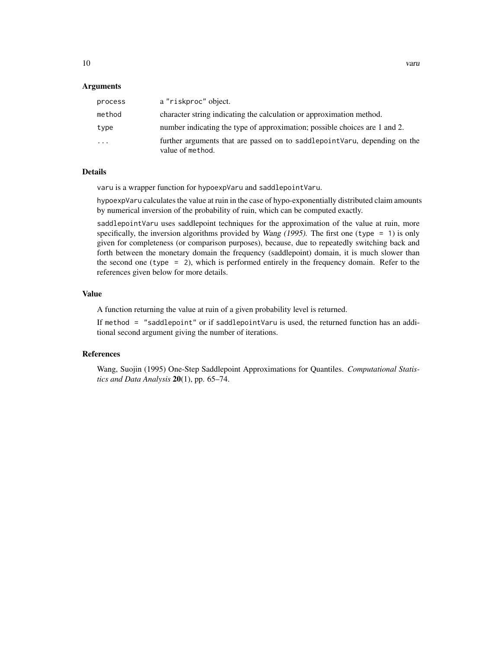## Arguments

| process | a "riskproc" object.                                                                           |
|---------|------------------------------------------------------------------------------------------------|
| method  | character string indicating the calculation or approximation method.                           |
| type    | number indicating the type of approximation; possible choices are 1 and 2.                     |
| $\cdot$ | further arguments that are passed on to saddlepoint Varu, depending on the<br>value of method. |

## Details

varu is a wrapper function for hypoexpVaru and saddlepointVaru.

hypoexpVaru calculates the value at ruin in the case of hypo-exponentially distributed claim amounts by numerical inversion of the probability of ruin, which can be computed exactly.

saddlepointVaru uses saddlepoint techniques for the approximation of the value at ruin, more specifically, the inversion algorithms provided by *Wang* (1995). The first one (type  $= 1$ ) is only given for completeness (or comparison purposes), because, due to repeatedly switching back and forth between the monetary domain the frequency (saddlepoint) domain, it is much slower than the second one (type = 2), which is performed entirely in the frequency domain. Refer to the references given below for more details.

#### Value

A function returning the value at ruin of a given probability level is returned.

If method = "saddlepoint" or if saddlepointVaru is used, the returned function has an additional second argument giving the number of iterations.

## References

Wang, Suojin (1995) One-Step Saddlepoint Approximations for Quantiles. *Computational Statistics and Data Analysis* 20(1), pp. 65–74.